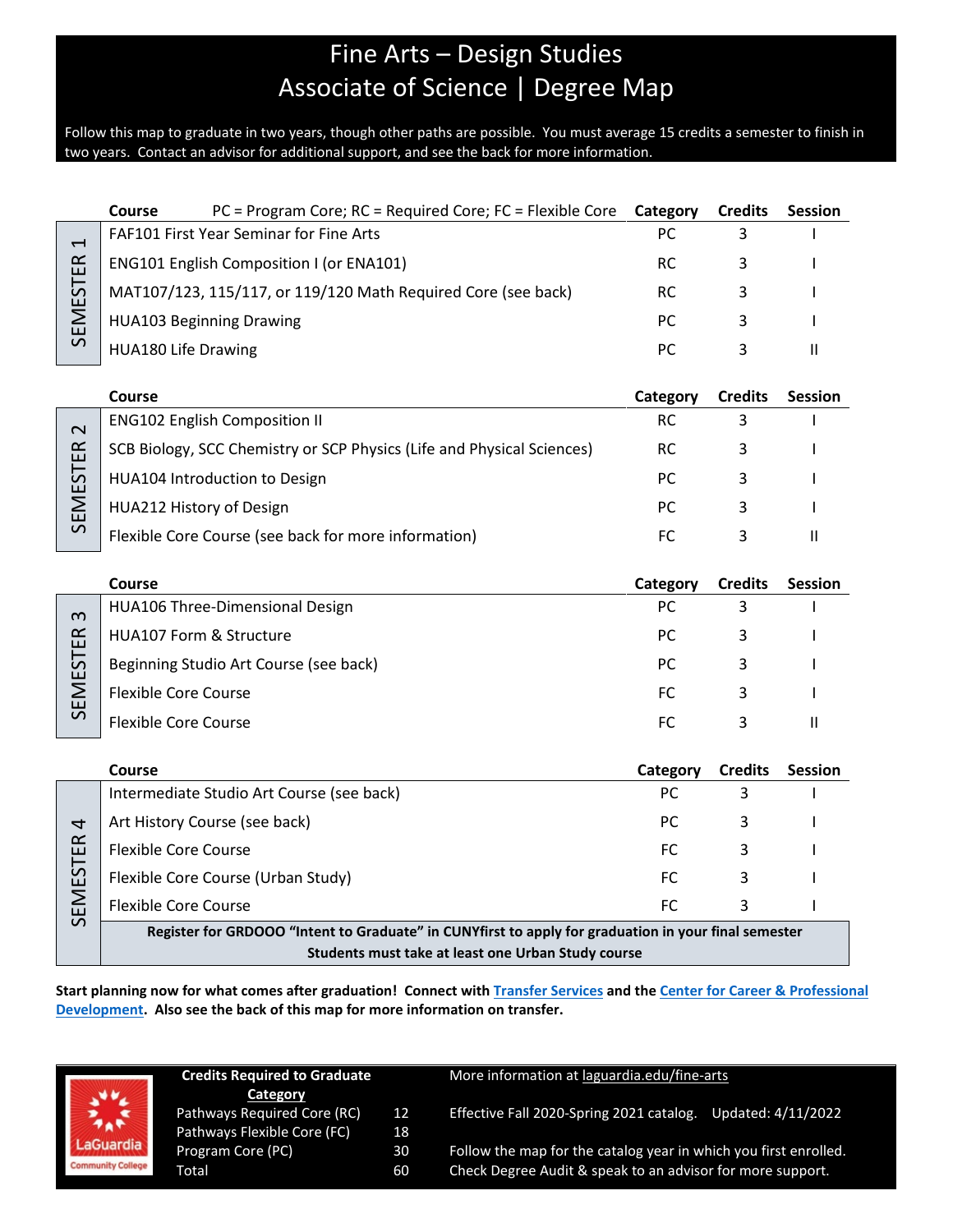# Fine Arts – Design Studies Associate of Science | Degree Map

Follow this map to graduate in two years, though other paths are possible. You must average 15 credits a semester to finish in two years. Contact an advisor for additional support, and see the back for more information.

|                                             | <b>Course</b>                                                                                        | PC = Program Core; RC = Required Core; FC = Flexible Core              | Category  | <b>Credits</b> | <b>Session</b> |  |
|---------------------------------------------|------------------------------------------------------------------------------------------------------|------------------------------------------------------------------------|-----------|----------------|----------------|--|
| $\overline{\phantom{0}}$<br><b>SEMESTER</b> | FAF101 First Year Seminar for Fine Arts                                                              |                                                                        | PC        | 3              |                |  |
|                                             | ENG101 English Composition I (or ENA101)                                                             |                                                                        | <b>RC</b> | 3              |                |  |
|                                             |                                                                                                      | MAT107/123, 115/117, or 119/120 Math Required Core (see back)          | RC.       | 3              |                |  |
|                                             | <b>HUA103 Beginning Drawing</b>                                                                      |                                                                        | PC        | 3              |                |  |
|                                             | <b>HUA180 Life Drawing</b>                                                                           |                                                                        | PC        | 3              | $\mathbf{H}$   |  |
|                                             |                                                                                                      |                                                                        |           |                |                |  |
|                                             | Course                                                                                               |                                                                        | Category  | <b>Credits</b> | <b>Session</b> |  |
| $\sim$<br><b>SEMESTER</b>                   |                                                                                                      | <b>ENG102 English Composition II</b>                                   | <b>RC</b> | 3              |                |  |
|                                             |                                                                                                      | SCB Biology, SCC Chemistry or SCP Physics (Life and Physical Sciences) | <b>RC</b> | 3              |                |  |
|                                             |                                                                                                      | HUA104 Introduction to Design                                          | PC.       | 3              |                |  |
|                                             | HUA212 History of Design                                                                             |                                                                        | PC        | 3              |                |  |
|                                             |                                                                                                      | Flexible Core Course (see back for more information)                   | FC        | 3              | $\mathbf{H}$   |  |
|                                             |                                                                                                      |                                                                        |           |                |                |  |
|                                             | Course                                                                                               |                                                                        | Category  | <b>Credits</b> | Session        |  |
| ო<br><b>SEMESTER</b>                        |                                                                                                      | HUA106 Three-Dimensional Design                                        | PC        | 3              |                |  |
|                                             | HUA107 Form & Structure                                                                              |                                                                        | PC        | 3              |                |  |
|                                             |                                                                                                      | Beginning Studio Art Course (see back)                                 | РC        | 3              |                |  |
|                                             | <b>Flexible Core Course</b>                                                                          |                                                                        | FC.       | 3              |                |  |
|                                             | <b>Flexible Core Course</b>                                                                          |                                                                        | FC        | 3              | $\mathbf{H}$   |  |
|                                             |                                                                                                      |                                                                        |           |                |                |  |
|                                             | Course                                                                                               |                                                                        | Category  | <b>Credits</b> | <b>Session</b> |  |
| 4<br><b>SEMESTER</b>                        |                                                                                                      | Intermediate Studio Art Course (see back)                              | PC        | $\overline{3}$ |                |  |
|                                             |                                                                                                      | Art History Course (see back)                                          | <b>PC</b> | 3              |                |  |
|                                             | <b>Flexible Core Course</b>                                                                          |                                                                        | FC        | 3              |                |  |
|                                             |                                                                                                      | Flexible Core Course (Urban Study)                                     | FC        | 3              |                |  |
|                                             | <b>Flexible Core Course</b>                                                                          |                                                                        | FC        | 3              |                |  |
|                                             | Register for GRDOOO "Intent to Graduate" in CUNYfirst to apply for graduation in your final semester |                                                                        |           |                |                |  |
|                                             | Students must take at least one Urban Study course                                                   |                                                                        |           |                |                |  |

**Start planning now for what comes after graduation! Connect with [Transfer Services](https://www.laguardia.edu/transferservices/) and the [Center for Career & Professional](https://www.laguardia.edu/careerservices/)  [Development.](https://www.laguardia.edu/careerservices/) Also see the back of this map for more information on transfer.**

| <b>Credits Required to Graduate</b> |    |  |  |  |
|-------------------------------------|----|--|--|--|
| Category                            |    |  |  |  |
| Pathways Required Core (RC)         | 12 |  |  |  |
| Pathways Flexible Core (FC)         | 18 |  |  |  |
| Program Core (PC)                   | 30 |  |  |  |
| Total                               | 60 |  |  |  |

#### More information at [laguardia.edu/fine-arts](https://cuny907-my.sharepoint.com/personal/joshua_goldblatt12_login_cuny_edu/Documents/Degree%20Maps%20&%20Curriculum/HUM/laguardia.edu/fine-arts)

12 Effective Fall 2020-Spring 2021 catalog. Updated: 4/11/2022

Follow the map for the catalog year in which you first enrolled. Check Degree Audit & speak to an advisor for more support.